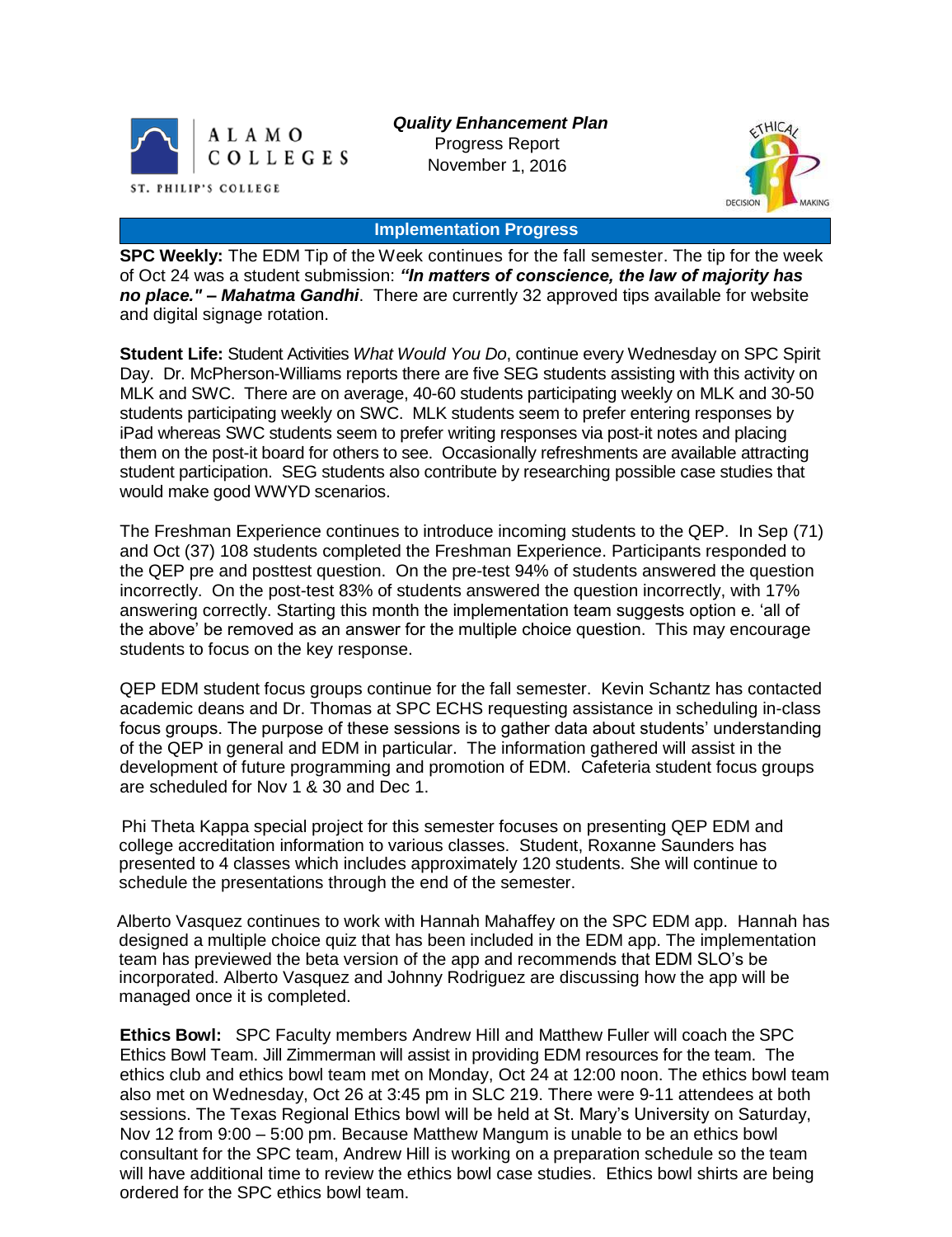

*Quality Enhancement Plan* Progress Report November 1, 2016



#### **Implementation Progress**

**SPC Weekly:** The EDM Tip of the Week continues for the fall semester. The tip for the week of Oct 24 was a student submission: *"In matters of conscience, the law of majority has no place." – Mahatma Gandhi*.There are currently 32 approved tips available for website and digital signage rotation.

**Student Life:** Student Activities *What Would You Do*, continue every Wednesday on SPC Spirit Day. Dr. McPherson-Williams reports there are five SEG students assisting with this activity on MLK and SWC. There are on average, 40-60 students participating weekly on MLK and 30-50 students participating weekly on SWC. MLK students seem to prefer entering responses by iPad whereas SWC students seem to prefer writing responses via post-it notes and placing them on the post-it board for others to see. Occasionally refreshments are available attracting student participation. SEG students also contribute by researching possible case studies that would make good WWYD scenarios.

The Freshman Experience continues to introduce incoming students to the QEP. In Sep (71) and Oct (37) 108 students completed the Freshman Experience. Participants responded to the QEP pre and posttest question. On the pre-test 94% of students answered the question incorrectly. On the post-test 83% of students answered the question incorrectly, with 17% answering correctly. Starting this month the implementation team suggests option e. 'all of the above' be removed as an answer for the multiple choice question. This may encourage students to focus on the key response.

QEP EDM student focus groups continue for the fall semester. Kevin Schantz has contacted academic deans and Dr. Thomas at SPC ECHS requesting assistance in scheduling in-class focus groups. The purpose of these sessions is to gather data about students' understanding of the QEP in general and EDM in particular. The information gathered will assist in the development of future programming and promotion of EDM. Cafeteria student focus groups are scheduled for Nov 1 & 30 and Dec 1.

Phi Theta Kappa special project for this semester focuses on presenting QEP EDM and college accreditation information to various classes. Student, Roxanne Saunders has presented to 4 classes which includes approximately 120 students. She will continue to schedule the presentations through the end of the semester.

Alberto Vasquez continues to work with Hannah Mahaffey on the SPC EDM app. Hannah has designed a multiple choice quiz that has been included in the EDM app. The implementation team has previewed the beta version of the app and recommends that EDM SLO's be incorporated. Alberto Vasquez and Johnny Rodriguez are discussing how the app will be managed once it is completed.

**Ethics Bowl:** SPC Faculty members Andrew Hill and Matthew Fuller will coach the SPC Ethics Bowl Team. Jill Zimmerman will assist in providing EDM resources for the team. The ethics club and ethics bowl team met on Monday, Oct 24 at 12:00 noon. The ethics bowl team also met on Wednesday, Oct 26 at 3:45 pm in SLC 219. There were 9-11 attendees at both sessions. The Texas Regional Ethics bowl will be held at St. Mary's University on Saturday, Nov 12 from 9:00 – 5:00 pm. Because Matthew Mangum is unable to be an ethics bowl consultant for the SPC team, Andrew Hill is working on a preparation schedule so the team will have additional time to review the ethics bowl case studies. Ethics bowl shirts are being ordered for the SPC ethics bowl team.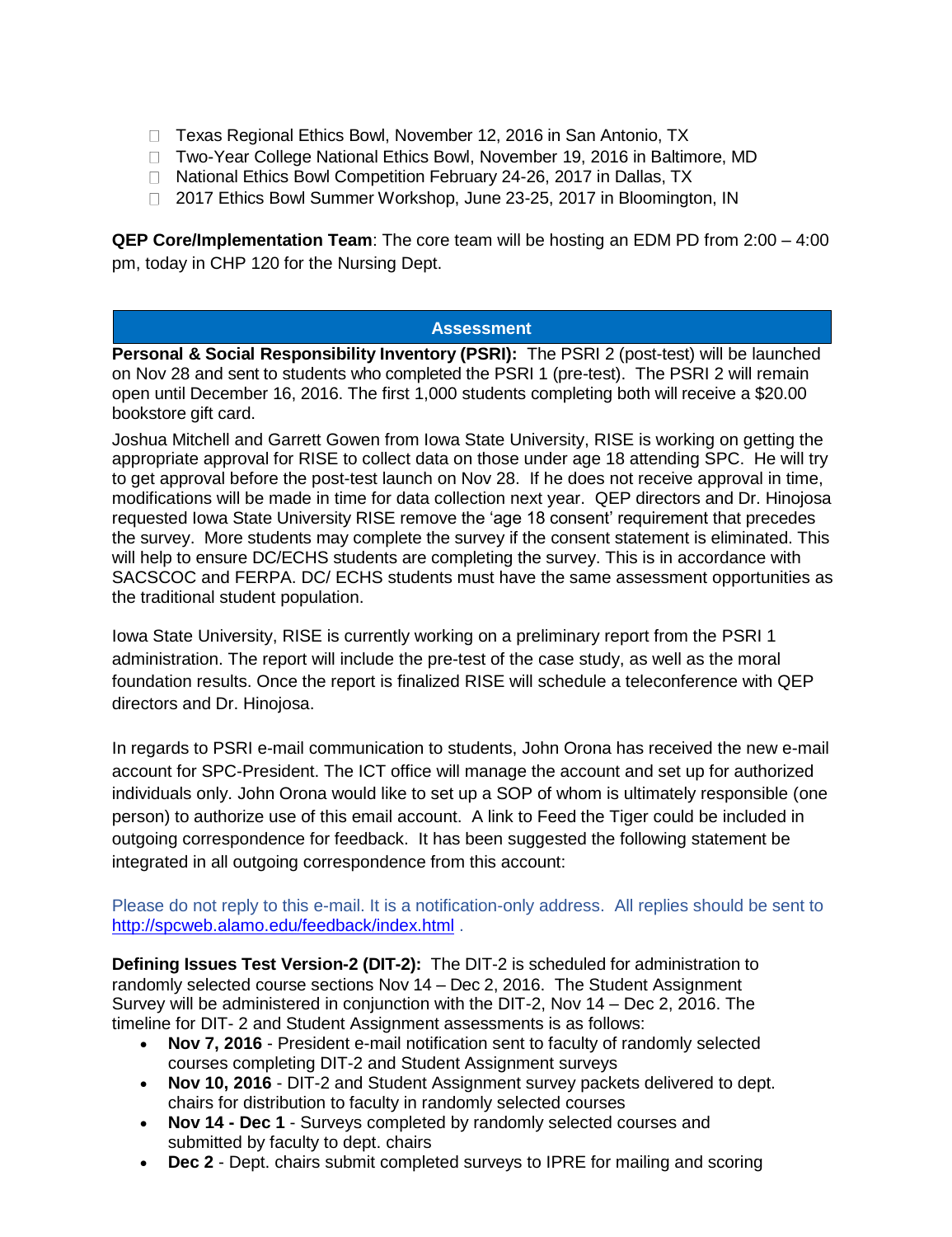- □ Texas Regional Ethics Bowl, November 12, 2016 in San Antonio, TX
- □ Two-Year College National Ethics Bowl, November 19, 2016 in Baltimore, MD
- □ National Ethics Bowl Competition February 24-26, 2017 in Dallas, TX
- □ 2017 Ethics Bowl Summer Workshop, June 23-25, 2017 in Bloomington, IN

**QEP Core/Implementation Team**: The core team will be hosting an EDM PD from 2:00 – 4:00 pm, today in CHP 120 for the Nursing Dept.

### **Assessment**

**Personal & Social Responsibility Inventory (PSRI):** The PSRI 2 (post-test) will be launched on Nov 28 and sent to students who completed the PSRI 1 (pre-test). The PSRI 2 will remain open until December 16, 2016. The first 1,000 students completing both will receive a \$20.00 bookstore gift card.

Joshua Mitchell and Garrett Gowen from Iowa State University, RISE is working on getting the appropriate approval for RISE to collect data on those under age 18 attending SPC. He will try to get approval before the post-test launch on Nov 28. If he does not receive approval in time, modifications will be made in time for data collection next year. QEP directors and Dr. Hinojosa requested Iowa State University RISE remove the 'age 18 consent' requirement that precedes the survey. More students may complete the survey if the consent statement is eliminated. This will help to ensure DC/ECHS students are completing the survey. This is in accordance with SACSCOC and FERPA. DC/ ECHS students must have the same assessment opportunities as the traditional student population.

Iowa State University, RISE is currently working on a preliminary report from the PSRI 1 administration. The report will include the pre-test of the case study, as well as the moral foundation results. Once the report is finalized RISE will schedule a teleconference with QEP directors and Dr. Hinojosa.

In regards to PSRI e-mail communication to students, John Orona has received the new e-mail account for SPC-President. The ICT office will manage the account and set up for authorized individuals only. John Orona would like to set up a SOP of whom is ultimately responsible (one person) to authorize use of this email account. A link to Feed the Tiger could be included in outgoing correspondence for feedback. It has been suggested the following statement be integrated in all outgoing correspondence from this account:

Please do not reply to this e-mail. It is a notification-only address. All replies should be sent to [http://spcweb.alamo.edu/feedback/index.html](https://mail.alamo.edu/owa/redir.aspx?C=mawO8X7fmD1aNFeUldgaleTfj86GBQJz2F8Z990APU7i6ZYu1u7TCA..&URL=http%3a%2f%2fspcweb.alamo.edu%2ffeedback%2findex.html) .

**Defining Issues Test Version-2 (DIT-2):** The DIT-2 is scheduled for administration to randomly selected course sections Nov 14 – Dec 2, 2016. The Student Assignment Survey will be administered in conjunction with the DIT-2, Nov 14 – Dec 2, 2016. The timeline for DIT- 2 and Student Assignment assessments is as follows:

- **Nov 7, 2016** President e-mail notification sent to faculty of randomly selected courses completing DIT-2 and Student Assignment surveys
- **Nov 10, 2016** DIT-2 and Student Assignment survey packets delivered to dept. chairs for distribution to faculty in randomly selected courses
- **Nov 14 - Dec 1** Surveys completed by randomly selected courses and submitted by faculty to dept. chairs
- **Dec 2** Dept. chairs submit completed surveys to IPRE for mailing and scoring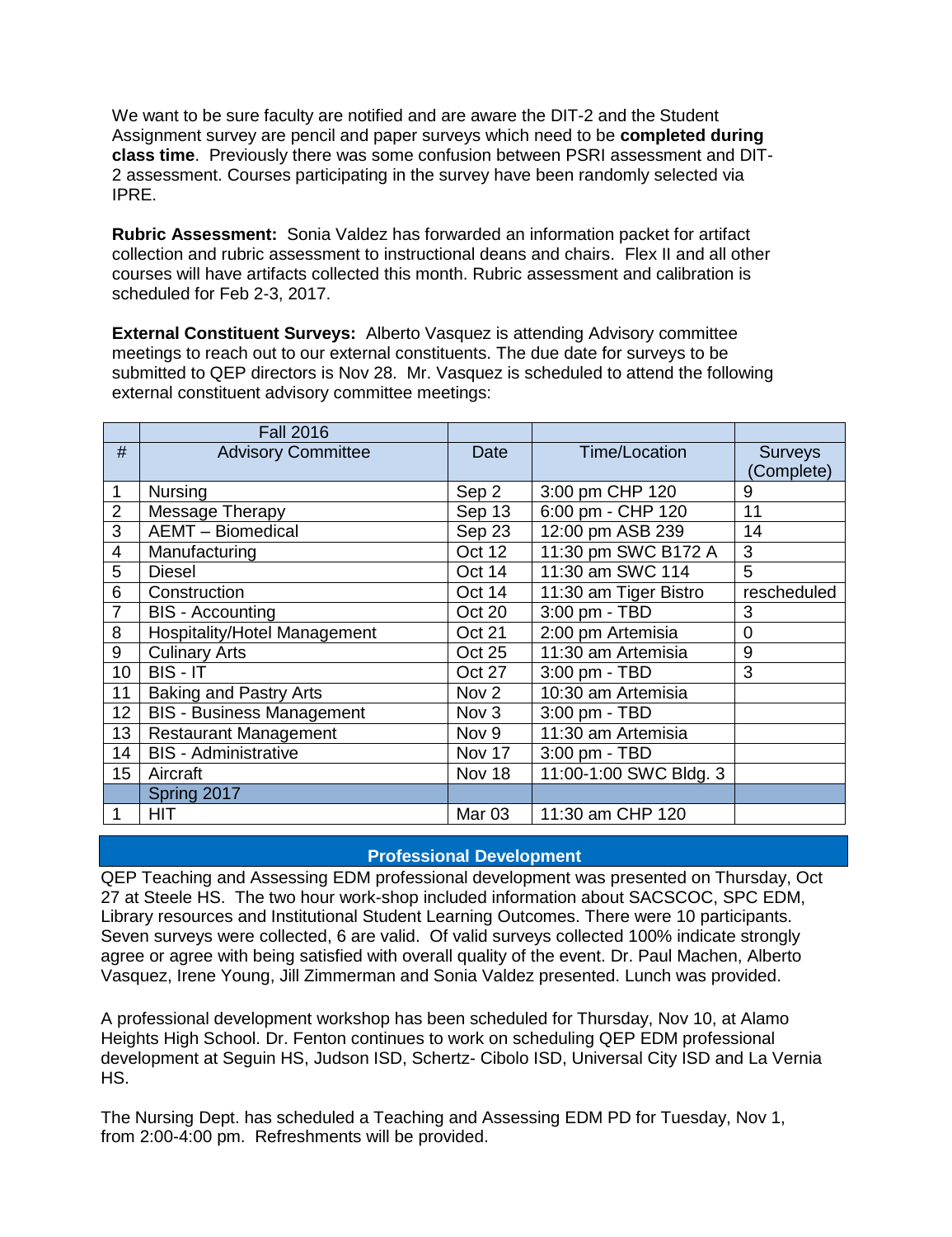We want to be sure faculty are notified and are aware the DIT-2 and the Student Assignment survey are pencil and paper surveys which need to be **completed during class time**. Previously there was some confusion between PSRI assessment and DIT-2 assessment. Courses participating in the survey have been randomly selected via IPRE.

**Rubric Assessment:** Sonia Valdez has forwarded an information packet for artifact collection and rubric assessment to instructional deans and chairs. Flex II and all other courses will have artifacts collected this month. Rubric assessment and calibration is scheduled for Feb 2-3, 2017.

**External Constituent Surveys:** Alberto Vasquez is attending Advisory committee meetings to reach out to our external constituents. The due date for surveys to be submitted to QEP directors is Nov 28. Mr. Vasquez is scheduled to attend the following external constituent advisory committee meetings:

|                  | <b>Fall 2016</b>                    |                   |                        |                |
|------------------|-------------------------------------|-------------------|------------------------|----------------|
| #                | <b>Advisory Committee</b>           | Date              | <b>Time/Location</b>   | <b>Surveys</b> |
|                  |                                     |                   |                        | (Complete)     |
| 1                | Nursing                             | Sep 2             | 3:00 pm CHP 120        | 9              |
| $\overline{2}$   | Message Therapy                     | Sep 13            | 6:00 pm - CHP 120      | 11             |
| 3                | <b>AEMT</b> - Biomedical            | Sep 23            | 12:00 pm ASB 239       | 14             |
| 4                | Manufacturing                       | Oct 12            | 11:30 pm SWC B172 A    | 3              |
| 5                | <b>Diesel</b>                       | Oct 14            | 11:30 am SWC 114       | 5              |
| 6                | Construction                        | Oct 14            | 11:30 am Tiger Bistro  | rescheduled    |
| 7                | <b>BIS</b> - Accounting             | Oct 20            | 3:00 pm - TBD          | 3              |
| 8                | <b>Hospitality/Hotel Management</b> | Oct 21            | 2:00 pm Artemisia      | 0              |
| 9                | <b>Culinary Arts</b>                | <b>Oct 25</b>     | 11:30 am Artemisia     | 9              |
| 10               | BIS - IT                            | <b>Oct 27</b>     | 3:00 pm - TBD          | 3              |
| 11               | <b>Baking and Pastry Arts</b>       | Nov <sub>2</sub>  | 10:30 am Artemisia     |                |
| 12 <sub>2</sub>  | <b>BIS - Business Management</b>    | Nov 3             | 3:00 pm - TBD          |                |
| 13               | <b>Restaurant Management</b>        | Nov 9             | 11:30 am Artemisia     |                |
| 14               | <b>BIS</b> - Administrative         | Nov 17            | 3:00 pm - TBD          |                |
| 15 <sup>15</sup> | Aircraft                            | Nov 18            | 11:00-1:00 SWC Bldg. 3 |                |
|                  | Spring 2017                         |                   |                        |                |
|                  | <b>HIT</b>                          | Mar <sub>03</sub> | 11:30 am CHP 120       |                |

### **Professional Development**

QEP Teaching and Assessing EDM professional development was presented on Thursday, Oct 27 at Steele HS. The two hour work-shop included information about SACSCOC, SPC EDM, Library resources and Institutional Student Learning Outcomes. There were 10 participants. Seven surveys were collected, 6 are valid. Of valid surveys collected 100% indicate strongly agree or agree with being satisfied with overall quality of the event. Dr. Paul Machen, Alberto Vasquez, Irene Young, Jill Zimmerman and Sonia Valdez presented. Lunch was provided.

A professional development workshop has been scheduled for Thursday, Nov 10, at Alamo Heights High School. Dr. Fenton continues to work on scheduling QEP EDM professional development at Seguin HS, Judson ISD, Schertz- Cibolo ISD, Universal City ISD and La Vernia HS.

The Nursing Dept. has scheduled a Teaching and Assessing EDM PD for Tuesday, Nov 1, from 2:00-4:00 pm. Refreshments will be provided.